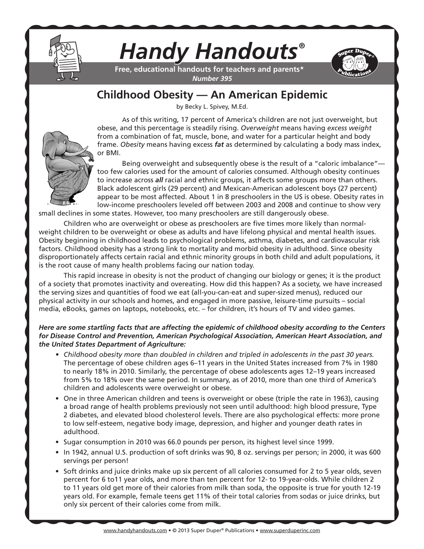

# *Handy Handouts®*

**Free, educational handouts for teachers and parents\*** *Number 395*

## **Childhood Obesity — An American Epidemic**

by Becky L. Spivey, M.Ed.

As of this writing, 17 percent of America's children are not just overweight, but obese, and this percentage is steadily rising. *Overweight* means having *excess weight* from a combination of fat, muscle, bone, and water for a particular height and body frame. *Obesity* means having excess *fat* as determined by calculating a body mass index, or BMI.

Being overweight and subsequently obese is the result of a "caloric imbalance"too few calories used for the amount of calories consumed. Although obesity continues to increase across *all* racial and ethnic groups, it affects some groups more than others. Black adolescent girls (29 percent) and Mexican-American adolescent boys (27 percent) appear to be most affected. About 1 in 8 preschoolers in the US is obese. Obesity rates in low-income preschoolers leveled off between 2003 and 2008 and continue to show very

small declines in some states. However, too many preschoolers are still dangerously obese.

Children who are overweight or obese as preschoolers are five times more likely than normalweight children to be overweight or obese as adults and have lifelong physical and mental health issues. Obesity beginning in childhood leads to psychological problems, asthma, diabetes, and cardiovascular risk factors. Childhood obesity has a strong link to mortality and morbid obesity in adulthood. Since obesity disproportionately affects certain racial and ethnic minority groups in both child and adult populations, it is the root cause of many health problems facing our nation today.

This rapid increase in obesity is not the product of changing our biology or genes; it is the product of a society that promotes inactivity and overeating. How did this happen? As a society, we have increased the serving sizes and quantities of food we eat (all-you-can-eat and super-sized menus), reduced our physical activity in our schools and homes, and engaged in more passive, leisure-time pursuits – social media, eBooks, games on laptops, notebooks, etc. – for children, it's hours of TV and video games.

*Here are some startling facts that are affecting the epidemic of childhood obesity according to the Centers for Disease Control and Prevention, American Psychological Association, American Heart Association, and the United States Department of Agriculture:*

- *• Childhood obesity more than doubled in children and tripled in adolescents in the past 30 years.*  The percentage of obese children ages 6–11 years in the United States increased from 7% in 1980 to nearly 18% in 2010. Similarly, the percentage of obese adolescents ages 12–19 years increased from 5% to 18% over the same period. In summary, as of 2010, more than one third of America's children and adolescents were overweight or obese.
- One in three American children and teens is overweight or obese (triple the rate in 1963), causing a broad range of health problems previously not seen until adulthood: high blood pressure, Type 2 diabetes, and elevated blood cholesterol levels. There are also psychological effects: more prone to low self-esteem, negative body image, depression, and higher and younger death rates in adulthood.
- Sugar consumption in 2010 was 66.0 pounds per person, its highest level since 1999.
- In 1942, annual U.S. production of soft drinks was 90, 8 oz. servings per person; in 2000, it was 600 servings per person!
- Soft drinks and juice drinks make up six percent of all calories consumed for 2 to 5 year olds, seven percent for 6 to11 year olds, and more than ten percent for 12- to 19-year-olds. While children 2 to 11 years old get more of their calories from milk than soda, the opposite is true for youth 12-19 years old. For example, female teens get 11% of their total calories from sodas or juice drinks, but only six percent of their calories come from milk.